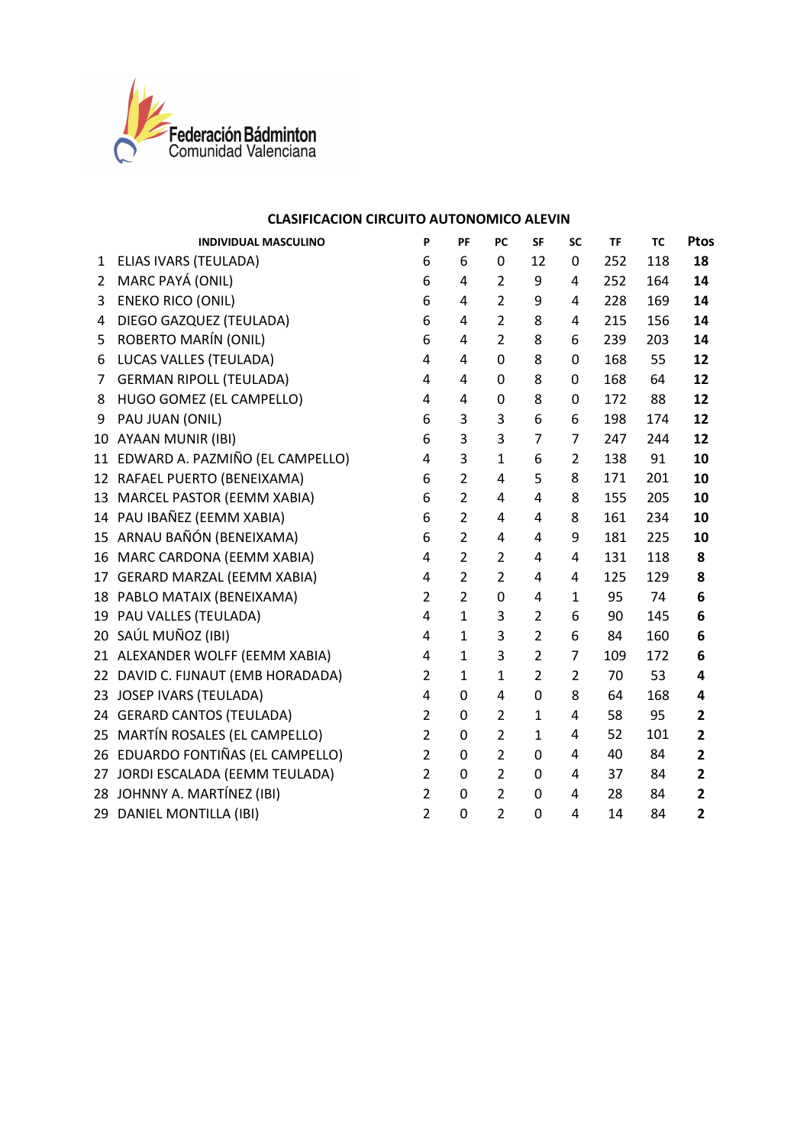

|                 | <b>INDIVIDUAL MASCULINO</b>        | P                       | PF             | PC             | SF             | SC             | TF  | <b>TC</b> | Ptos                    |
|-----------------|------------------------------------|-------------------------|----------------|----------------|----------------|----------------|-----|-----------|-------------------------|
| 1               | ELIAS IVARS (TEULADA)              | 6                       | 6              | 0              | 12             | 0              | 252 | 118       | 18                      |
| $\overline{2}$  | MARC PAYÁ (ONIL)                   | 6                       | 4              | $\overline{2}$ | 9              | 4              | 252 | 164       | 14                      |
| 3               | <b>ENEKO RICO (ONIL)</b>           | 6                       | 4              | $\overline{2}$ | 9              | 4              | 228 | 169       | 14                      |
| 4               | DIEGO GAZQUEZ (TEULADA)            | 6                       | 4              | $\overline{2}$ | 8              | 4              | 215 | 156       | 14                      |
| 5               | ROBERTO MARÍN (ONIL)               | 6                       | 4              | $\overline{2}$ | 8              | 6              | 239 | 203       | 14                      |
| 6               | LUCAS VALLES (TEULADA)             | 4                       | 4              | 0              | 8              | 0              | 168 | 55        | 12                      |
| 7               | <b>GERMAN RIPOLL (TEULADA)</b>     | 4                       | 4              | 0              | 8              | 0              | 168 | 64        | 12                      |
| 8               | HUGO GOMEZ (EL CAMPELLO)           | 4                       | 4              | 0              | 8              | 0              | 172 | 88        | 12                      |
| 9               | PAU JUAN (ONIL)                    | 6                       | 3              | 3              | 6              | 6              | 198 | 174       | 12                      |
| 10              | AYAAN MUNIR (IBI)                  | 6                       | 3              | 3              | $\overline{7}$ | 7              | 247 | 244       | 12                      |
|                 | 11 EDWARD A. PAZMIÑO (EL CAMPELLO) | 4                       | 3              | $\mathbf{1}$   | 6              | $\overline{2}$ | 138 | 91        | 10                      |
|                 | 12 RAFAEL PUERTO (BENEIXAMA)       | 6                       | $\overline{2}$ | 4              | 5              | 8              | 171 | 201       | 10                      |
| 13              | MARCEL PASTOR (EEMM XABIA)         | 6                       | $\overline{2}$ | 4              | 4              | 8              | 155 | 205       | 10                      |
|                 | 14 PAU IBAÑEZ (EEMM XABIA)         | 6                       | $\overline{2}$ | 4              | 4              | 8              | 161 | 234       | 10                      |
|                 | 15 ARNAU BAÑÓN (BENEIXAMA)         | 6                       | $\overline{2}$ | 4              | 4              | 9              | 181 | 225       | 10                      |
| 16              | MARC CARDONA (EEMM XABIA)          | 4                       | $\overline{2}$ | $\overline{2}$ | 4              | 4              | 131 | 118       | 8                       |
|                 | 17 GERARD MARZAL (EEMM XABIA)      | 4                       | $\overline{2}$ | $\overline{2}$ | 4              | 4              | 125 | 129       | 8                       |
|                 | 18 PABLO MATAIX (BENEIXAMA)        | $\overline{2}$          | $\overline{2}$ | 0              | 4              | $\mathbf{1}$   | 95  | 74        | 6                       |
| 19              | PAU VALLES (TEULADA)               | 4                       | $\mathbf{1}$   | 3              | $\overline{2}$ | 6              | 90  | 145       | 6                       |
| 20 <sub>2</sub> | SAÚL MUÑOZ (IBI)                   | 4                       | $\mathbf{1}$   | 3              | $\overline{2}$ | 6              | 84  | 160       | 6                       |
|                 | 21 ALEXANDER WOLFF (EEMM XABIA)    | 4                       | $\mathbf{1}$   | 3              | $\overline{2}$ | $\overline{7}$ | 109 | 172       | 6                       |
|                 | 22 DAVID C. FIJNAUT (EMB HORADADA) | $\overline{2}$          | $\mathbf{1}$   | $\mathbf{1}$   | $\overline{2}$ | $\overline{2}$ | 70  | 53        | 4                       |
| 23              | <b>JOSEP IVARS (TEULADA)</b>       | $\overline{\mathbf{4}}$ | 0              | 4              | 0              | 8              | 64  | 168       | 4                       |
|                 | 24 GERARD CANTOS (TEULADA)         | $\overline{2}$          | $\pmb{0}$      | $\overline{2}$ | $\mathbf{1}$   | 4              | 58  | 95        | 2                       |
|                 | 25 MARTÍN ROSALES (EL CAMPELLO)    | $\overline{2}$          | 0              | $\overline{2}$ | $\mathbf{1}$   | 4              | 52  | 101       | $\mathbf{2}$            |
|                 | 26 EDUARDO FONTIÑAS (EL CAMPELLO)  | $\overline{2}$          | $\pmb{0}$      | $\overline{2}$ | $\mathbf 0$    | 4              | 40  | 84        | $\overline{\mathbf{2}}$ |
| 27              | JORDI ESCALADA (EEMM TEULADA)      | $\overline{2}$          | 0              | $\overline{2}$ | 0              | 4              | 37  | 84        | $\overline{2}$          |
|                 | 28 JOHNNY A. MARTÍNEZ (IBI)        | $\overline{2}$          | 0              | $\overline{2}$ | 0              | 4              | 28  | 84        | $\mathbf{2}$            |
|                 | 29 DANIEL MONTILLA (IBI)           | $\overline{2}$          | 0              | $\overline{2}$ | 0              | 4              | 14  | 84        | $\mathbf{2}$            |
|                 |                                    |                         |                |                |                |                |     |           |                         |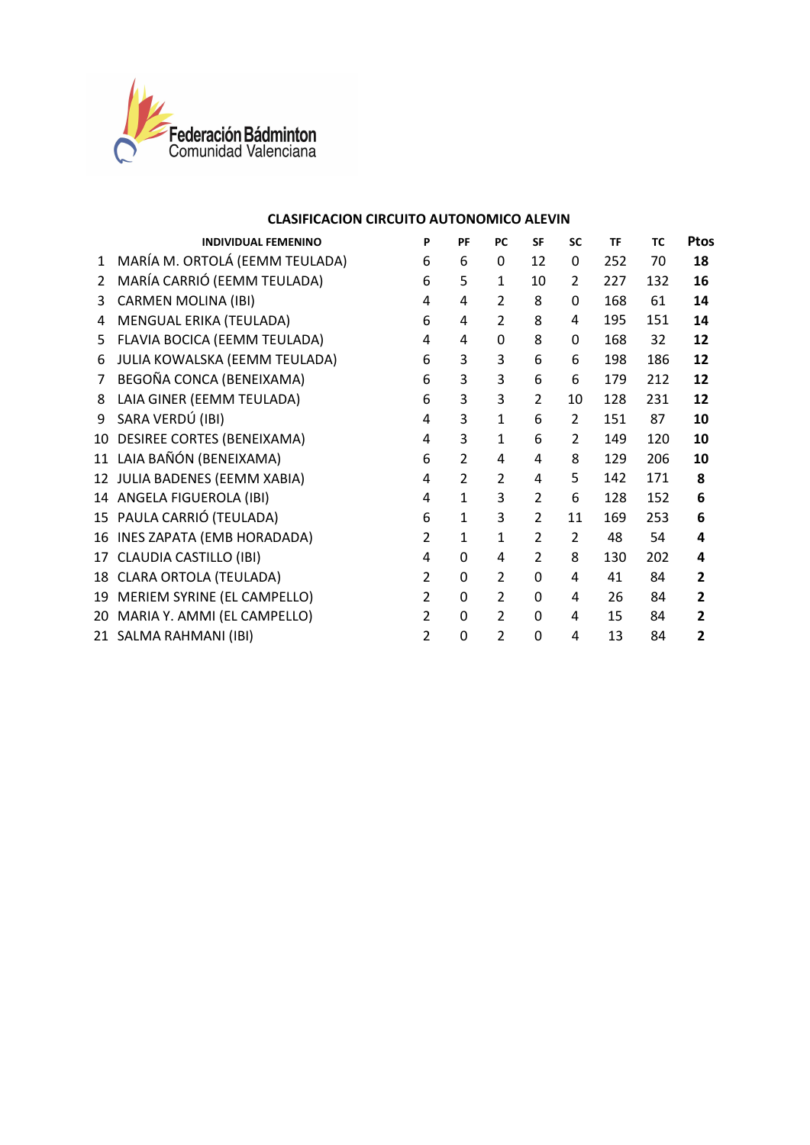

|                | <b>INDIVIDUAL FEMENINO</b>     | P              | PF             | PC             | <b>SF</b>                | <b>SC</b>      | TF  | <b>TC</b> | <b>Ptos</b>    |
|----------------|--------------------------------|----------------|----------------|----------------|--------------------------|----------------|-----|-----------|----------------|
| $\mathbf{1}$   | MARÍA M. ORTOLÁ (EEMM TEULADA) | 6              | 6              | 0              | 12                       | 0              | 252 | 70        | 18             |
| $\overline{2}$ | MARÍA CARRIÓ (EEMM TEULADA)    | 6              | 5              | $\mathbf{1}$   | 10                       | $\overline{2}$ | 227 | 132       | 16             |
| 3              | <b>CARMEN MOLINA (IBI)</b>     | 4              | 4              | $\overline{2}$ | 8                        | 0              | 168 | 61        | 14             |
| 4              | MENGUAL ERIKA (TEULADA)        | 6              | 4              | $\overline{2}$ | 8                        | 4              | 195 | 151       | 14             |
| 5.             | FLAVIA BOCICA (EEMM TEULADA)   | 4              | 4              | 0              | 8                        | 0              | 168 | 32        | 12             |
| 6              | JULIA KOWALSKA (EEMM TEULADA)  | 6              | 3              | 3              | 6                        | 6              | 198 | 186       | 12             |
| 7              | BEGOÑA CONCA (BENEIXAMA)       | 6              | 3              | 3              | 6                        | 6              | 179 | 212       | 12             |
| 8              | LAIA GINER (EEMM TEULADA)      | 6              | 3              | 3              | 2                        | 10             | 128 | 231       | 12             |
| 9              | SARA VERDÚ (IBI)               | 4              | 3              | $\mathbf{1}$   | 6                        | $\overline{2}$ | 151 | 87        | 10             |
| 10             | DESIREE CORTES (BENEIXAMA)     | 4              | 3              | $\mathbf{1}$   | 6                        | $\overline{2}$ | 149 | 120       | 10             |
|                | 11 LAIA BAÑÓN (BENEIXAMA)      | 6              | $\overline{2}$ | 4              | 4                        | 8              | 129 | 206       | 10             |
|                | 12 JULIA BADENES (EEMM XABIA)  | 4              | $\overline{2}$ | $\mathcal{P}$  | 4                        | 5              | 142 | 171       | 8              |
|                | 14 ANGELA FIGUEROLA (IBI)      | 4              | $\mathbf{1}$   | 3              | $\overline{2}$           | 6              | 128 | 152       | 6              |
|                | 15 PAULA CARRIÓ (TEULADA)      | 6              | 1              | 3              | $\overline{2}$           | 11             | 169 | 253       | 6              |
|                | 16 INES ZAPATA (EMB HORADADA)  | $\overline{2}$ | $\mathbf{1}$   | $\mathbf{1}$   | $\overline{\mathcal{L}}$ | $\overline{2}$ | 48  | 54        | 4              |
|                | 17 CLAUDIA CASTILLO (IBI)      | 4              | 0              | 4              | $\overline{2}$           | 8              | 130 | 202       | 4              |
|                | 18 CLARA ORTOLA (TEULADA)      | $\overline{2}$ | 0              | $\overline{2}$ | 0                        | 4              | 41  | 84        | $\mathbf{2}$   |
|                | 19 MERIEM SYRINE (EL CAMPELLO) | $\overline{2}$ | 0              | $\overline{2}$ | 0                        | 4              | 26  | 84        | $\overline{2}$ |
|                | 20 MARIA Y. AMMI (EL CAMPELLO) | $\overline{2}$ | 0              | $\overline{2}$ | $\Omega$                 | 4              | 15  | 84        | $\overline{2}$ |
|                | 21 SALMA RAHMANI (IBI)         | $\overline{2}$ | 0              | $\overline{2}$ | 0                        | 4              | 13  | 84        | $\overline{2}$ |
|                |                                |                |                |                |                          |                |     |           |                |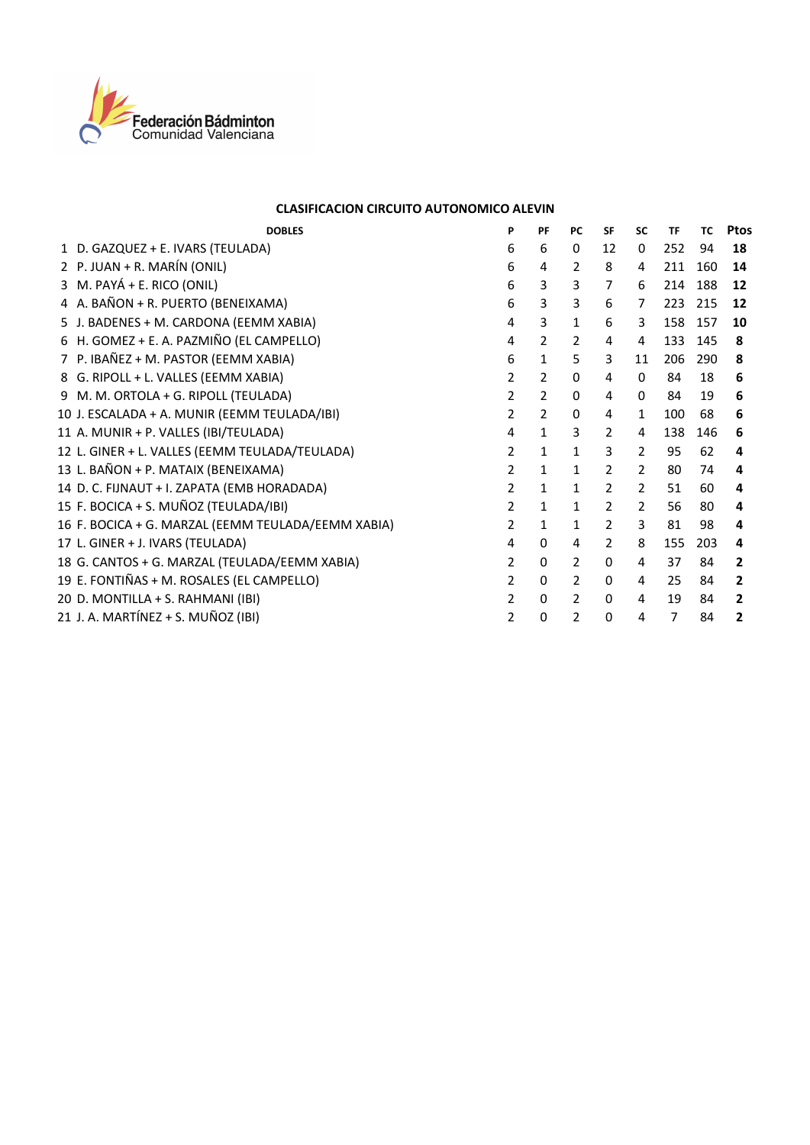

| <b>DOBLES</b>                                      | P              | PF             | <b>PC</b>      | <b>SF</b>      | <b>SC</b>      | TF  | <b>TC</b> | Ptos         |
|----------------------------------------------------|----------------|----------------|----------------|----------------|----------------|-----|-----------|--------------|
| 1 D. GAZQUEZ + E. IVARS (TEULADA)                  | 6              | 6              | 0              | 12             | 0              | 252 | 94        | 18           |
| 2 P. JUAN + R. MARÍN (ONIL)                        | 6              | 4              | 2              | 8              | 4              | 211 | 160       | 14           |
| 3 M. PAYÁ + E. RICO (ONIL)                         | 6              | 3              | 3              | $\overline{7}$ | 6              | 214 | 188       | 12           |
| 4 A. BAÑON + R. PUERTO (BENEIXAMA)                 | 6              | 3              | 3              | 6              | 7              | 223 | 215       | 12           |
| 5 J. BADENES + M. CARDONA (EEMM XABIA)             | 4              | 3              | 1              | 6              | 3              | 158 | 157       | 10           |
| 6 H. GOMEZ + E. A. PAZMIÑO (EL CAMPELLO)           | 4              | 2              | $\overline{2}$ | 4              | 4              | 133 | 145       | 8            |
| 7 P. IBAÑEZ + M. PASTOR (EEMM XABIA)               | 6              | 1              | 5              | 3              | 11             | 206 | 290       | 8            |
| 8 G. RIPOLL + L. VALLES (EEMM XABIA)               | 2              | $\overline{2}$ | 0              | 4              | 0              | 84  | 18        | 6            |
| 9 M. M. ORTOLA + G. RIPOLL (TEULADA)               | 2              | $\overline{2}$ | $\Omega$       | 4              | $\Omega$       | 84  | 19        | 6            |
| 10 J. ESCALADA + A. MUNIR (EEMM TEULADA/IBI)       | $\overline{2}$ | $\overline{2}$ | $\Omega$       | 4              | $\mathbf{1}$   | 100 | 68        | 6            |
| 11 A. MUNIR + P. VALLES (IBI/TEULADA)              | 4              | $\mathbf{1}$   | 3              | $\overline{2}$ | 4              | 138 | 146       | 6            |
| 12 L. GINER + L. VALLES (EEMM TEULADA/TEULADA)     | 2              | 1              | 1              | 3              | 2              | 95  | 62        | 4            |
| 13 L. BAÑON + P. MATAIX (BENEIXAMA)                | 2              | 1              | 1              | $\overline{2}$ | 2              | 80  | 74        | 4            |
| 14 D. C. FIJNAUT + I. ZAPATA (EMB HORADADA)        | $\overline{2}$ | 1              | 1              | $\overline{2}$ | $\overline{2}$ | 51  | 60        | 4            |
| 15 F. BOCICA + S. MUÑOZ (TEULADA/IBI)              | 2              | $\mathbf{1}$   | $\mathbf{1}$   | $\overline{2}$ | $\mathcal{P}$  | 56  | 80        | 4            |
| 16 F. BOCICA + G. MARZAL (EEMM TEULADA/EEMM XABIA) | 2              | $\mathbf{1}$   | $\mathbf{1}$   | $\mathcal{P}$  | 3              | 81  | 98        | 4            |
| 17 L. GINER + J. IVARS (TEULADA)                   | 4              | 0              | 4              | $\overline{2}$ | 8              | 155 | 203       | 4            |
| 18 G. CANTOS + G. MARZAL (TEULADA/EEMM XABIA)      | $\overline{2}$ | 0              | $\overline{2}$ | 0              | 4              | 37  | 84        | $\mathbf{2}$ |
| 19 E. FONTIÑAS + M. ROSALES (EL CAMPELLO)          | 2              | 0              | $\overline{2}$ | $\Omega$       | 4              | 25  | 84        | $\mathbf{2}$ |
| 20 D. MONTILLA + S. RAHMANI (IBI)                  | 2              | 0              | 2              | 0              | 4              | 19  | 84        | 2            |
| 21 J. A. MARTÍNEZ + S. MUÑOZ (IBI)                 | $\overline{2}$ | 0              | 2              | 0              | 4              | 7   | 84        | 2            |